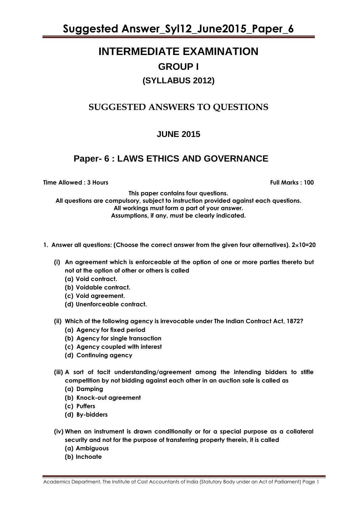### **INTERMEDIATE EXAMINATION GROUP I (SYLLABUS 2012)**

### **SUGGESTED ANSWERS TO QUESTIONS**

### **JUNE 2015**

### **Paper- 6 : LAWS ETHICS AND GOVERNANCE**

**Time Allowed : 3 Hours Full Marks : 100** 

**This paper contains four questions.**

**All questions are compulsory, subject to instruction provided against each questions. All workings must form a part of your answer. Assumptions, if any, must be clearly indicated.**

- **1. Answer all questions: (Choose the correct answer from the given four alternatives). 210=20**
	- **(i) An agreement which is enforceable at the option of one or more parties thereto but not at the option of other or others is called**
		- **(a) Void contract.**
		- **(b) Voidable contract.**
		- **(c) Void agreement.**
		- **(d) Unenforceable contract.**
	- **(ii) Which of the following agency is irrevocable under The Indian Contract Act, 1872?**
		- **(a) Agency for fixed period**
		- **(b) Agency for single transaction**
		- **(c) Agency coupled with interest**
		- **(d) Continuing agency**
	- **(iii) A sort of tacit understanding/agreement among the intending bidders to stifle competition by not bidding against each other in an auction sale is called as**
		- **(a) Damping**
		- **(b) Knock-out agreement**
		- **(c) Puffers**
		- **(d) By-bidders**
	- **(iv) When an instrument is drawn conditionally or for a special purpose as a collateral security and not for the purpose of transferring property therein, it is called**
		- **(a) Ambiguous**
		- **(b) Inchoate**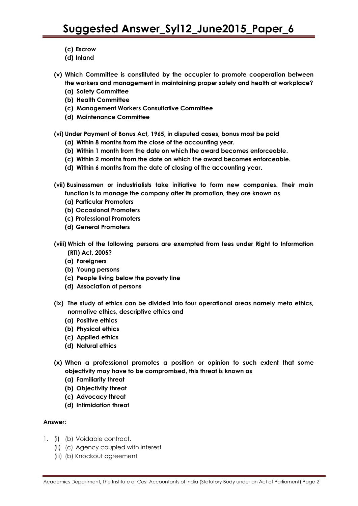- **(c) Escrow**
- **(d) Inland**
- **(v) Which Committee is constituted by the occupier to promote cooperation between the workers and management in maintaining proper safety and health at workplace?**
	- **(a) Safety Committee**
	- **(b) Health Committee**
	- **(c) Management Workers Consultative Committee**
	- **(d) Maintenance Committee**
- **(vi) Under Payment of Bonus Act, 1965, in disputed cases, bonus most be paid** 
	- **(a) Within 8 months from the close of the accounting year.**
	- **(b) Within 1 month from the date on which the award becomes enforceable.**
	- **(c) Within 2 months from the date on which the award becomes enforceable.**
	- **(d) Within 6 months from the date of closing of the accounting year.**
- **(vii) Businessmen or industrialists take initiative to form new companies. Their main function is to manage the company after its promotion, they are known as**
	- **(a) Particular Promoters**
	- **(b) Occasional Promoters**
	- **(c) Professional Promoters**
	- **(d) General Promoters**
- **(viii) Which of the following persons are exempted from fees under Right to Information (RTI) Act, 2005?**
	- **(a) Foreigners**
	- **(b) Young persons**
	- **(c) People living below the poverty line**
	- **(d) Association of persons**
- **(ix) The study of ethics can be divided into four operational areas namely meta ethics, normative ethics, descriptive ethics and**
	- **(a) Positive ethics**
	- **(b) Physical ethics**
	- **(c) Applied ethics**
	- **(d) Natural ethics**
- **(x) When a professional promotes a position or opinion to such extent that some objectivity may have to be compromised, this threat is known as** 
	- **(a) Familiarity threat**
	- **(b) Objectivity threat**
	- **(c) Advocacy threat**
	- **(d) Intimidation threat**

- 1. (i) (b) Voidable contract.
	- (ii) (c) Agency coupled with interest
	- (iii) (b) Knockout agreement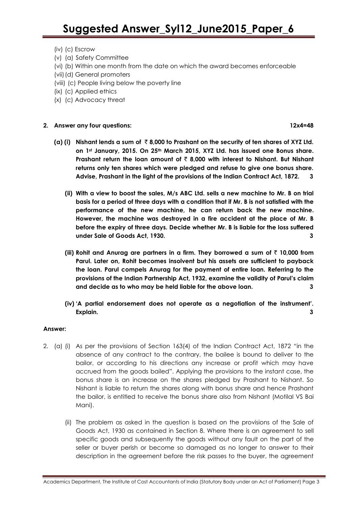- (iv) (c) Escrow
- (v) (a) Safety Committee
- (vi) (b) Within one month from the date on which the award becomes enforceable
- (vii)(d) General promoters
- (viii) (c) People living below the poverty line
- (ix) (c) Applied ethics
- (x) (c) Advocacy threat

### **2. Answer any four questions: 12x4=48**

- **(a) (i) Nishant lends a sum of** ` **8,000 to Prashant on the security of ten shares of XYZ Ltd. on 1st January, 2015. On 25th March 2015, XYZ Ltd. has issued one Bonus share. Prashant return the loan amount of** ` **8,000 with interest to Nishant. But Nishant returns only ten shares which were pledged and refuse to give one bonus share. Advise, Prashant in the light of the provisions of the Indian Contract Act, 1872. 3**
	- **(ii) With a view to boost the sales, M/s ABC Ltd. sells a new machine to Mr. B on trial basis for a period of three days with a condition that if Mr. B is not satisfied with the performance of the new machine, he can return back the new machine. However, the machine was destroyed in a fire accident at the place of Mr. B before the expiry of three days. Decide whether Mr. B is liable for the loss suffered under Sale of Goods Act, 1930. 3**
	- **(iii) Rohit and Anurag are partners in a firm. They borrowed a sum of** ` **10,000 from Parul. Later on, Rohit becomes insolvent but his assets are sufficient to payback the loan. Parul compels Anurag for the payment of entire loan. Referring to the provisions of the Indian Partnership Act, 1932, examine the validity of Parul's claim and decide as to who may be held liable for the above loan. 3**
	- **(iv) 'A partial endorsement does not operate as a negotiation of the instrument'. Explain. 3**

### **Answer:**

- 2. (a) (i) As per the provisions of Section 163(4) of the Indian Contract Act, 1872 "in the absence of any contract to the contrary, the bailee is bound to deliver to the bailor, or according to his directions any increase or profit which may have accrued from the goods bailed". Applying the provisions to the instant case, the bonus share is an increase on the shares pledged by Prashant to Nishant. So Nishant is liable to return the shares along with bonus share and hence Prashant the bailor, is entitled to receive the bonus share also from Nishant (Motilal VS Bai Mani).
	- (ii) The problem as asked in the question is based on the provisions of the Sale of Goods Act, 1930 as contained in Section 8. Where there is an agreement to sell specific goods and subsequently the goods without any fault on the part of the seller or buyer perish or become so damaged as no longer to answer to their description in the agreement before the risk passes to the buyer, the agreement

Academics Department, The Institute of Cost Accountants of India (Statutory Body under an Act of Parliament) Page 3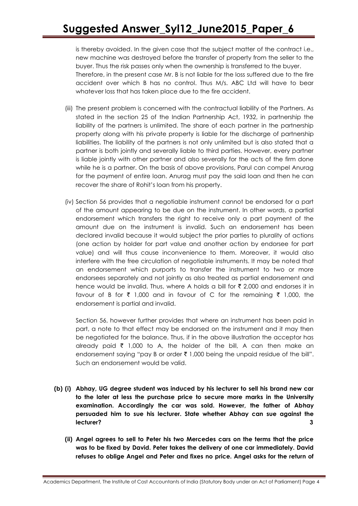is thereby avoided. In the given case that the subject matter of the contract i.e., new machine was destroyed before the transfer of property from the seller to the buyer. Thus the risk passes only when the ownership is transferred to the buyer. Therefore, in the present case Mr. B is not liable for the loss suffered due to the fire accident over which B has no control. Thus M/s. ABC Ltd will have to bear whatever loss that has taken place due to the fire accident.

- (iii) The present problem is concerned with the contractual liability of the Partners. As stated in the section 25 of the Indian Partnership Act, 1932, in partnership the liability of the partners is unlimited. The share of each partner in the partnership property along with his private property is liable for the discharge of partnership liabilities. The liability of the partners is not only unlimited but is also stated that a partner is both jointly and severally liable to third parties. However, every partner is liable jointly with other partner and also severally for the acts of the firm done while he is a partner. On the basis of above provisions, Parul can compel Anurag for the payment of entire loan. Anurag must pay the said loan and then he can recover the share of Rohit"s loan from his property.
- (iv) Section 56 provides that a negotiable instrument cannot be endorsed for a part of the amount appearing to be due on the instrument. In other words, a partial endorsement which transfers the right to receive only a part payment of the amount due on the instrument is invalid. Such an endorsement has been declared invalid because it would subject the prior parties to plurality of actions (one action by holder for part value and another action by endorsee for part value) and will thus cause inconvenience to them. Moreover, it would also interfere with the free circulation of negotiable instruments. It may be noted that an endorsement which purports to transfer the instrument to two or more endorsees separately and not jointly as also treated as partial endorsement and hence would be invalid. Thus, where A holds a bill for  $\bar{\tau}$  2,000 and endorses it in favour of B for  $\bar{\tau}$  1,000 and in favour of C for the remaining  $\bar{\tau}$  1,000, the endorsement is partial and invalid.

Section 56, however further provides that where an instrument has been paid in part, a note to that effect may be endorsed on the instrument and it may then be negotiated for the balance. Thus, if in the above illustration the acceptor has already paid  $\bar{\tau}$  1,000 to A, the holder of the bill, A can then make an endorsement saying "pay B or order  $\bar{\tau}$  1,000 being the unpaid residue of the bill". Such an endorsement would be valid.

- **(b) (i) Abhay, UG degree student was induced by his lecturer to sell his brand new car to the later at less the purchase price to secure more marks in the University examination. Accordingly the car was sold. However, the father of Abhay persuaded him to sue his lecturer. State whether Abhay can sue against the lecturer? 3**
	- **(ii) Angel agrees to sell to Peter his two Mercedes cars on the terms that the price was to be fixed by David. Peter takes the delivery of one car immediately. David refuses to oblige Angel and Peter and fixes no price. Angel asks for the return of**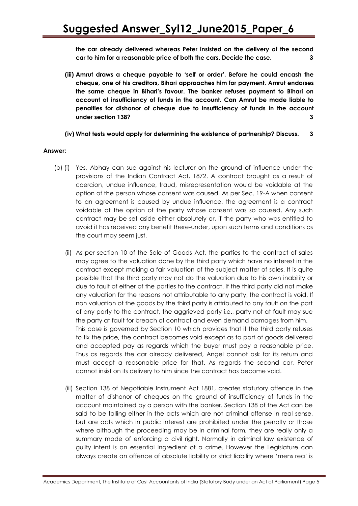**the car already delivered whereas Peter insisted on the delivery of the second car to him for a reasonable price of both the cars. Decide the case. 3**

- **(iii) Amrut draws a cheque payable to 'self or order'. Before he could encash the cheque, one of his creditors, Bihari approaches him for payment. Amrut endorses the same cheque in Bihari's favour. The banker refuses payment to Bihari on account of insufficiency of funds in the account. Can Amrut be made liable to penalties for dishonor of cheque due to insufficiency of funds in the account under section 138? 3**
- **(iv) What tests would apply for determining the existence of partnership? Discuss. 3**

- (b) (i) Yes, Abhay can sue against his lecturer on the ground of influence under the provisions of the Indian Contract Act, 1872. A contract brought as a result of coercion, undue influence, fraud, misrepresentation would be voidable at the option of the person whose consent was caused. As per Sec. 19-A when consent to an agreement is caused by undue influence, the agreement is a contract voidable at the option of the party whose consent was so caused. Any such contract may be set aside either absolutely or, if the party who was entitled to avoid it has received any benefit there-under, upon such terms and conditions as the court may seem just.
	- (ii) As per section 10 of the Sale of Goods Act, the parties to the contract of sales may agree to the valuation done by the third party which have no interest in the contract except making a fair valuation of the subject matter of sales. It is quite possible that the third party may not do the valuation due to his own inability or due to fault of either of the parties to the contract. If the third party did not make any valuation for the reasons not attributable to any party, the contract is void. If non valuation of the goods by the third party is attributed to any fault on the part of any party to the contract, the aggrieved party i.e., party not at fault may sue the party at fault for breach of contract and even demand damages from him. This case is governed by Section 10 which provides that if the third party refuses to fix the price, the contract becomes void except as to part of goods delivered and accepted pay as regards which the buyer must pay a reasonable price. Thus as regards the car already delivered, Angel cannot ask for its return and must accept a reasonable price for that. As regards the second car, Peter cannot insist on its delivery to him since the contract has become void.
	- (iii) Section 138 of Negotiable Instrument Act 1881, creates statutory offence in the matter of dishonor of cheques on the ground of insufficiency of funds in the account maintained by a person with the banker. Section 138 of the Act can be said to be falling either in the acts which are not criminal offense in real sense, but are acts which in public interest are prohibited under the penalty or those where although the proceeding may be in criminal form, they are really only a summary mode of enforcing a civil right. Normally in criminal law existence of guilty intent is an essential ingredient of a crime. However the Legislature can always create an offence of absolute liability or strict liability where "mens rea" is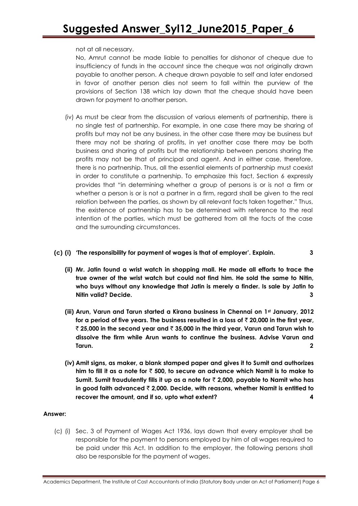not at all necessary.

No, Amrut cannot be made liable to penalties for dishonor of cheque due to insufficiency of funds in the account since the cheque was not originally drawn payable to another person. A cheque drawn payable to self and later endorsed in favor of another person dies not seem to fall within the purview of the provisions of Section 138 which lay down that the cheque should have been drawn for payment to another person.

(iv) As must be clear from the discussion of various elements of partnership, there is no single test of partnership. For example, in one case there may be sharing of profits but may not be any business, in the other case there may be business but there may not be sharing of profits, in yet another case there may be both business and sharing of profits but the relationship between persons sharing the profits may not be that of principal and agent. And in either case, therefore, there is no partnership. Thus, all the essential elements of partnership must coexist in order to constitute a partnership. To emphasize this fact, Section 6 expressly provides that "in determining whether a group of persons is or is not a firm or whether a person is or is not a partner in a firm, regard shall be given to the real relation between the parties, as shown by all relevant facts taken together." Thus, the existence of partnership has to be determined with reference to the real intention of the parties, which must be gathered from all the facts of the case and the surrounding circumstances.

### **(c) (i) 'The responsibility for payment of wages is that of employer'. Explain. 3**

- **(ii) Mr. Jatin found a wrist watch in shopping mall. He made all efforts to trace the true owner of the wrist watch but could not find him. He sold the same to Nitin, who buys without any knowledge that Jatin is merely a finder. Is sale by Jatin to Nitin valid? Decide. 3**
- **(iii) Arun, Varun and Tarun started a Kirana business in Chennai on 1st January, 2012 for a period of five years. The business resulted in a loss of** ` **20,000 in the first year,**  ` **25,000 in the second year and** ` **35,000 in the third year, Varun and Tarun wish to dissolve the firm while Arun wants to continue the business. Advise Varun and Tarun. 2**
- **(iv) Amit signs, as maker, a blank stamped paper and gives it to Sumit and authorizes him to fill it as a note for** ` **500, to secure an advance which Namit is to make to Sumit. Sumit fraudulently fills it up as a note for** ` **2,000, payable to Namit who has in good faith advanced** ` **2,000. Decide, with reasons, whether Namit is entitled to recover the amount, and if so, upto what extent? 4**

### **Answer:**

(c) (i) Sec. 3 of Payment of Wages Act 1936, lays down that every employer shall be responsible for the payment to persons employed by him of all wages required to be paid under this Act. In addition to the employer, the following persons shall also be responsible for the payment of wages.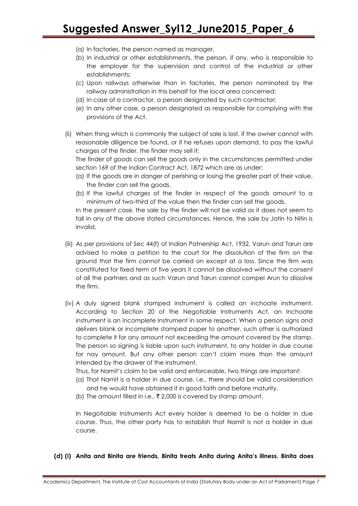- (a) In factories, the person named as manager,
- (b) In industrial or other establishments, the person, if any, who is responsible to the employer for the supervision and control of the industrial or other establishments;
- (c) Upon railways otherwise than in factories, the person nominated by the railway administration in this behalf for the local area concerned;
- (d) In case of a contractor, a person designated by such contractor;
- (e) In any other case, a person designated as responsible for complying with the provisions of the Act.
- (ii) When thing which is commonly the subject of sale is lost, if the owner cannot with reasonable diligence be found, or if he refuses upon demand, to pay the lawful charges of the finder, the finder may sell it:

The finder of goods can sell the goods only in the circumstances permitted under section 169 of the Indian Contract Act, 1872 which are as under:

- (a) If the goods are in danger of perishing or losing the greater part of their value, the finder can sell the goods.
- (b) If the lawful charges of the finder in respect of the goods amount to a minimum of two-third of the value then the finder can sell the goods.

In the present case, the sale by the finder will not be valid as it does not seem to fall in any of the above stated circumstances. Hence, the sale by Jatin to Nitin is invalid.

- (iii) As per provisions of Sec 44(f) of Indian Patnership Act, 1932, Varun and Tarun are advised to make a petition to the court for the dissolution of the firm on the ground that the firm cannot be carried on except at a loss. Since the firm was constituted for fixed term of five years it cannot be dissolved without the consent of all the partners and as such Varun and Tarun cannot compel Arun to dissolve the firm.
- (iv) A duly signed blank stamped instrument is called an inchoate instrument. According to Section 20 of the Negotiable Instruments Act, an Inchoate instrument is an incomplete Instrument in some respect. When a person signs and delivers blank or incomplete stamped paper to another, such other is authorized to complete it for any amount not exceeding the amount covered by the stamp. The person so signing is liable upon such instrument, to any holder in due course for nay amount. But any other person can"t claim more than the amount intended by the drawer of the instrument.

Thus, for Namit"s claim to be valid and enforceable, two things are important:

- (a) That Namit is a holder in due course, i.e., there should be valid consideration and he would have obtained it in good faith and before maturity.
- (b) The amount filled in i.e.,  $\bar{\tau}$  2,000 is covered by stamp amount.

In Negotiable Instruments Act every holder is deemed to be a holder in due course. Thus, the other party has to establish that Namit is not a holder in due course.

#### **(d) (i) Anita and Binita are friends, Binita treats Anita during Anita's illness. Binita does**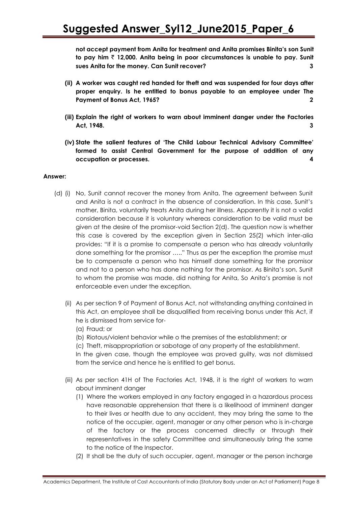**not accept payment from Anita for treatment and Anita promises Binita's son Sunit to pay him** ` **12,000. Anita being in poor circumstances is unable to pay. Sunit sues Anita for the money. Can Sunit recover? 3**

- **(ii) A worker was caught red handed for theft and was suspended for four days after proper enquiry. Is he entitled to bonus payable to an employee under The Payment of Bonus Act, 1965? 2**
- **(iii) Explain the right of workers to warn about imminent danger under the Factories Act, 1948. 3**
- **(iv) State the salient features of 'The Child Labour Technical Advisory Committee' formed to assist Central Government for the purpose of addition of any occupation or processes. 4**

### **Answer:**

- (d) (i) No, Sunit cannot recover the money from Anita. The agreement between Sunit and Anita is not a contract in the absence of consideration. In this case, Sunit"s mother, Binita, voluntarily treats Anita during her illness. Apparently it is not a valid consideration because it is voluntary whereas consideration to be valid must be given at the desire of the promisor-void Section 2(d). The question now is whether this case is covered by the exception given in Section 25(2) which inter-alia provides: "If it is a promise to compensate a person who has already voluntarily done something for the promisor ….." Thus as per the exception the promise must be to compensate a person who has himself done something for the promisor and not to a person who has done nothing for the promisor. As Binita"s son, Sunit to whom the promise was made, did nothing for Anita, So Anita"s promise is not enforceable even under the exception.
	- (ii) As per section 9 of Payment of Bonus Act, not withstanding anything contained in this Act, an employee shall be disqualified from receiving bonus under this Act, if he is dismissed from service for-
		- (a) Fraud; or
		- (b) Riotous/violent behavior while o the premises of the establishment; or

(c) Theft, misappropriation or sabotage of any property of the establishment. In the given case, though the employee was proved guilty, was not dismissed from the service and hence he is entitled to get bonus.

- (iii) As per section 41H of The Factories Act, 1948, it is the right of workers to warn about imminent danger
	- (1) Where the workers employed in any factory engaged in a hazardous process have reasonable apprehension that there is a likelihood of imminent danger to their lives or health due to any accident, they may bring the same to the notice of the occupier, agent, manager or any other person who is in-charge of the factory or the process concerned directly or through their representatives in the safety Committee and simultaneously bring the same to the notice of the Inspector.
	- (2) It shall be the duty of such occupier, agent, manager or the person incharge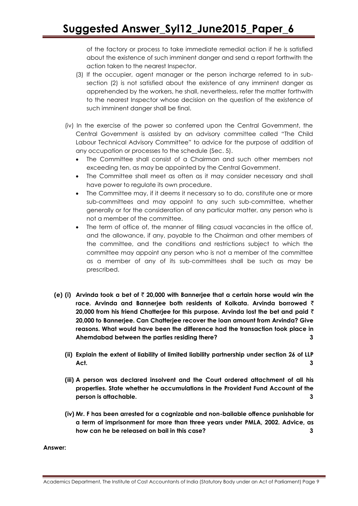of the factory or process to take immediate remedial action if he is satisfied about the existence of such imminent danger and send a report forthwith the action taken to the nearest Inspector.

- (3) If the occupier, agent manager or the person incharge referred to in subsection (2) is not satisfied about the existence of any imminent danger as apprehended by the workers, he shall, nevertheless, refer the matter forthwith to the nearest Inspector whose decision on the question of the existence of such imminent danger shall be final.
- (iv) In the exercise of the power so conferred upon the Central Government, the Central Government is assisted by an advisory committee called "The Child Labour Technical Advisory Committee" to advice for the purpose of addition of any occupation or processes to the schedule (Sec. 5).
	- The Committee shall consist of a Chairman and such other members not exceeding ten, as may be appointed by the Central Government.
	- The Committee shall meet as often as it may consider necessary and shall have power to regulate its own procedure.
	- The Committee may, if it deems it necessary so to do, constitute one or more sub-committees and may appoint to any such sub-committee, whether generally or for the consideration of any particular matter, any person who is not a member of the committee.
	- The term of office of, the manner of filling casual vacancies in the office of, and the allowance, if any, payable to the Chairman and other members of the committee, and the conditions and restrictions subject to which the committee may appoint any person who is not a member of the committee as a member of any of its sub-committees shall be such as may be prescribed.
- **(e) (i) Arvinda took a bet of** ` **20,000 with Bannerjee that a certain horse would win the race. Arvinda and Bannerjee both residents of Kolkata. Arvinda borrowed** ` **20,000 from his friend Chatterjee for this purpose. Arvinda lost the bet and paid** ` **20,000 to Bannerjee. Can Chatterjee recover the loan amount from Arvinda? Give reasons. What would have been the difference had the transaction took place in Ahemdabad between the parties residing there? 3**
	- **(ii) Explain the extent of liability of limited liability partnership under section 26 of LLP Act. 3**
	- **(iii) A person was declared insolvent and the Court ordered attachment of all his properties. State whether he accumulations in the Provident Fund Account of the person is attachable. 3**
	- **(iv) Mr. F has been arrested for a cognizable and non-bailable offence punishable for a term of imprisonment for more than three years under PMLA, 2002. Advice, as how can he be released on bail in this case? 3**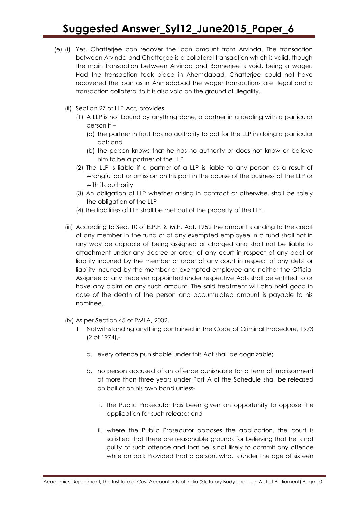- (e) (i) Yes, Chatterjee can recover the loan amount from Arvinda. The transaction between Arvinda and Chatterjee is a collateral transaction which is valid, though the main transaction between Arvinda and Bannerjee is void, being a wager. Had the transaction took place in Ahemdabad, Chatterjee could not have recovered the loan as in Ahmedabad the wager transactions are illegal and a transaction collateral to it is also void on the ground of illegality.
	- (ii) Section 27 of LLP Act, provides
		- (1) A LLP is not bound by anything done, a partner in a dealing with a particular person if –
			- (a) the partner in fact has no authority to act for the LLP in doing a particular act; and
			- (b) the person knows that he has no authority or does not know or believe him to be a partner of the LLP
		- (2) The LLP is liable if a partner of a LLP is liable to any person as a result of wrongful act or omission on his part in the course of the business of the LLP or with its authority
		- (3) An obligation of LLP whether arising in contract or otherwise, shall be solely the obligation of the LLP
		- (4) The liabilities of LLP shall be met out of the property of the LLP.
	- (iii) According to Sec. 10 of E.P.F. & M.P. Act, 1952 the amount standing to the credit of any member in the fund or of any exempted employee in a fund shall not in any way be capable of being assigned or charged and shall not be liable to attachment under any decree or order of any court in respect of any debt or liability incurred by the member or order of any court in respect of any debt or liability incurred by the member or exempted employee and neither the Official Assignee or any Receiver appointed under respective Acts shall be entitled to or have any claim on any such amount. The said treatment will also hold good in case of the death of the person and accumulated amount is payable to his nominee.
	- (iv) As per Section 45 of PMLA, 2002,
		- 1. Notwithstanding anything contained in the Code of Criminal Procedure, 1973 (2 of 1974),
			- a. every offence punishable under this Act shall be cognizable;
			- b. no person accused of an offence punishable for a term of imprisonment of more than three years under Part A of the Schedule shall be released on bail or on his own bond unless
				- i. the Public Prosecutor has been given an opportunity to oppose the application for such release; and
				- ii. where the Public Prosecutor opposes the application, the court is satisfied that there are reasonable grounds for believing that he is not guilty of such offence and that he is not likely to commit any offence while on bail: Provided that a person, who, is under the age of sixteen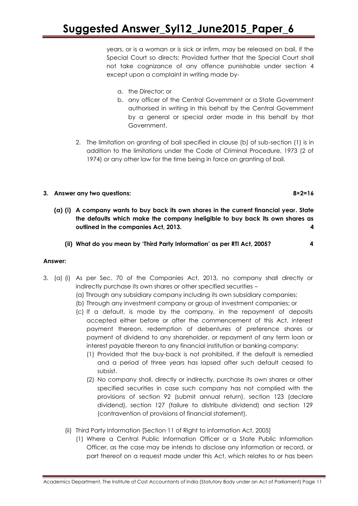years, or is a woman or is sick or infirm, may be released on bail, if the Special Court so directs: Provided further that the Special Court shall not take cognizance of any offence punishable under section 4 except upon a complaint in writing made by-

- a. the Director; or
- b. any officer of the Central Government or a State Government authorised in writing in this behalf by the Central Government by a general or special order made in this behalf by that Government.
- 2. The limitation on granting of bail specified in clause (b) of sub-section (1) is in addition to the limitations under the Code of Criminal Procedure, 1973 (2 of 1974) or any other law for the time being in force on granting of bail.

### **3. Answer any two questions: 8×2=16**

- **(a) (i) A company wants to buy back its own shares in the current financial year. State the defaults which make the company ineligible to buy back its own shares as outlined in the companies Act, 2013. 4**
	- **(ii) What do you mean by 'Third Party Information' as per RTI Act, 2005? 4**

- 3. (a) (i) As per Sec. 70 of the Companies Act, 2013, no company shall directly or indirectly purchase its own shares or other specified securities –
	- (a) Through any subsidiary company including its own subsidiary companies;
	- (b) Through any investment company or group of investment companies; or
	- (c) If a default, is made by the company, in the repayment of deposits accepted either before or after the commencement of this Act, interest payment thereon, redemption of debentures of preference shares or payment of dividend to any shareholder, or repayment of any term loan or interest payable thereon to any financial institution or banking company:
		- (1) Provided that the buy-back is not prohibited, if the default is remedied and a period of three years has lapsed after such default ceased to subsist.
		- (2) No company shall, directly or indirectly, purchase its own shares or other specified securities in case such company has not complied with the provisions of section 92 (submit annual return), section 123 (declare dividend), section 127 (failure to distribute dividend) and section 129 (contravention of provisions of financial statement).
	- (ii) Third Party Information [Section 11 of Right to information Act, 2005]
		- (1) Where a Central Public Information Officer or a State Public Information Officer, as the case may be intends to disclose any information or record, or part thereof on a request made under this Act, which relates to or has been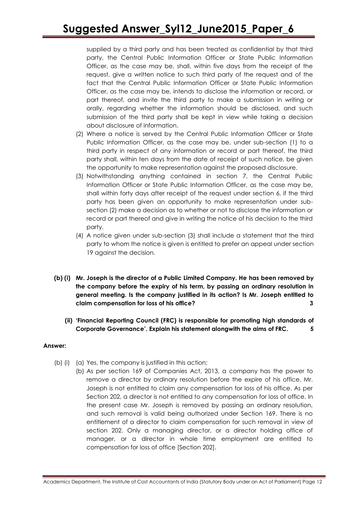supplied by a third party and has been treated as confidential by that third party, the Central Public Information Officer or State Public Information Officer, as the case may be, shall, within five days from the receipt of the request, give a written notice to such third party of the request and of the fact that the Central Public Information Officer or State Public Information Officer, as the case may be, intends to disclose the information or record, or part thereof, and invite the third party to make a submission in writing or orally, regarding whether the information should be disclosed, and such submission of the third party shall be kept in view while taking a decision about disclosure of information.

- (2) Where a notice is served by the Central Public Information Officer or State Public Information Officer, as the case may be, under sub-section (1) to a third party in respect of any information or record or part thereof, the third party shall, within ten days from the date of receipt of such notice, be given the opportunity to make representation against the proposed disclosure.
- (3) Notwithstanding anything contained in section 7, the Central Public Information Officer or State Public Information Officer, as the case may be, shall within forty days after receipt of the request under section 6, if the third party has been given an opportunity to make representation under subsection (2) make a decision as to whether or not to disclose the information or record or part thereof and give in writing the notice of his decision to the third party.
- (4) A notice given under sub-section (3) shall include a statement that the third party to whom the notice is given is entitled to prefer an appeal under section 19 against the decision.
- **(b) (i) Mr. Joseph is the director of a Public Limited Company. He has been removed by the company before the expiry of his term, by passing an ordinary resolution in general meeting. Is the company justified in its action? Is Mr. Joseph entitled to claim compensation for loss of his office? 3**
	- **(ii) 'Financial Reporting Council (FRC) is responsible for promoting high standards of Corporate Governance'. Explain his statement alongwith the aims of FRC. 5**

- (b) (i) (a) Yes, the company is justified in this action;
	- (b) As per section 169 of Companies Act, 2013, a company has the power to remove a director by ordinary resolution before the expire of his office. Mr. Joseph is not entitled to claim any compensation for loss of his office. As per Section 202, a director is not entitled to any compensation for loss of office. In the present case Mr. Joseph is removed by passing an ordinary resolution, and such removal is valid being authorized under Section 169. There is no entitlement of a director to claim compensation for such removal in view of section 202. Only a managing director, or a director holding office of manager, or a director in whole time employment are entitled to compensation for loss of office [Section 202].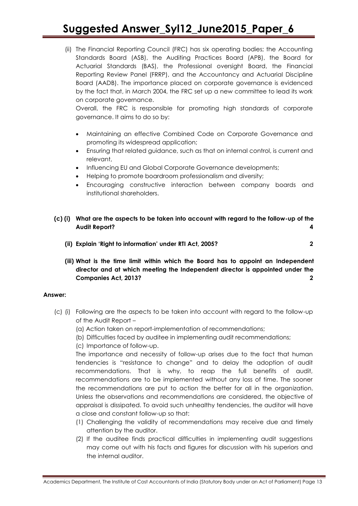(ii) The Financial Reporting Council (FRC) has six operating bodies; the Accounting Standards Board (ASB), the Auditing Practices Board (APB), the Board for Actuarial Standards (BAS), the Professional oversight Board, the Financial Reporting Review Panel (FRRP), and the Accountancy and Actuarial Discipline Board (AADB). The importance placed on corporate governance is evidenced by the fact that, in March 2004, the FRC set up a new committee to lead its work on corporate governance.

Overall, the FRC is responsible for promoting high standards of corporate governance. It aims to do so by:

- Maintaining an effective Combined Code on Corporate Governance and promoting its widespread application;
- Ensuring that related guidance, such as that on internal control, is current and relevant,
- Influencing EU and Global Corporate Governance developments;
- Helping to promote boardroom professionalism and diversity;
- Encouraging constructive interaction between company boards and institutional shareholders.
- **(c) (i) What are the aspects to be taken into account with regard to the follow-up of the Audit Report? 4**
	- **(ii) Explain 'Right to information' under RTI Act, 2005? 2**

**(iii) What is the time limit within which the Board has to appoint an Independent director and at which meeting the Independent director is appointed under the Companies Act, 2013? 2**

### **Answer:**

- (c) (i) Following are the aspects to be taken into account with regard to the follow-up of the Audit Report –
	- (a) Action taken on report-implementation of recommendations;
	- (b) Difficulties faced by auditee in implementing audit recommendations;
	- (c) Importance of follow-up.

The importance and necessity of follow-up arises due to the fact that human tendencies is "resistance to change" and to delay the adoption of audit recommendations. That is why, to reap the full benefits of audit, recommendations are to be implemented without any loss of time. The sooner the recommendations are put to action the better for all in the organization. Unless the observations and recommendations are considered, the objective of appraisal is dissipated. To avoid such unhealthy tendencies, the auditor will have a close and constant follow-up so that:

- (1) Challenging the validity of recommendations may receive due and timely attention by the auditor.
- (2) If the auditee finds practical difficulties in implementing audit suggestions may come out with his facts and figures for discussion with his superiors and the internal auditor.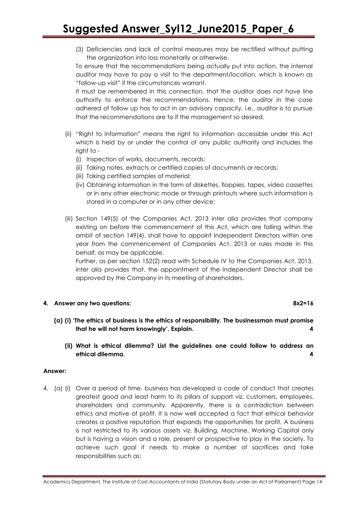(3) Deficiencies and lack of control measures may be rectified without putting the organization into loss monetarily or otherwise.

To ensure that the recommendations being actually put into action, the internal auditor may have to pay a visit to the department/location, which is known as "follow-up visit" if the circumstances warrant.

It must be remembered in this connection, that the auditor does not have line authority to enforce the recommendations. Hence, the auditor in the case adhered of follow up has to act in an advisory capacity, i.e., auditor is to pursue that the recommendations are to if the management so desired.

- (ii) "Right to Information" means the right to information accessible under this Act which is held by or under the control of any public authority and includes the right to -
	- (i) Inspection of works, documents, records;
	- (ii) Taking notes, extracts or certified copies of documents or records;
	- (iii) Taking certified samples of material;
	- (iv) Obtaining information in the form of diskettes, floppies, tapes, video cassettes or in any other electronic mode or through printouts where such information is stored in a computer or in any other device;
- (iii) Section 149(5) of the Companies Act, 2013 inter alia provides that company existing on before the commencement of this Act, which are falling within the ambit of section 149(4), shall have to appoint Independent Directors within one year from the commencement of Companies Act, 2013 or rules made in this behalf, as may be applicable.

Further, as per section 152(2) read with Schedule IV to the Companies Act, 2013, inter alia provides that, the appointment of the Independent Director shall be approved by the Company in its meeting of shareholders.

### **4. Answer any two questions: 8x2=16**

- **(a) (i) 'The ethics of business is the ethics of responsibility. The businessman must promise that he will not harm knowingly'. Explain. 4**
	- **(ii) What is ethical dilemma? List the guidelines one could follow to address an ethical dilemma. 4**

### **Answer:**

4. (a) (i) Over a period of time, business has developed a code of conduct that creates greatest good and least harm to its pillars of support viz. customers, employees, shareholders and community. Apparently, there is a contradiction between ethics and motive of profit. It is now well accepted a fact that ethical behavior creates a positive reputation that expands the opportunities for profit. A business is not restricted to its various assets viz. Building, Machine, Working Capital only but is having a vision and a role, present or prospective to play in the society. To achieve such goal it needs to make a number of sacrifices and take responsibilities such as: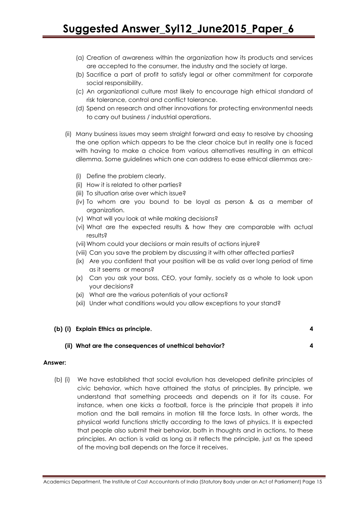- (a) Creation of awareness within the organization how its products and services are accepted to the consumer, the industry and the society at large.
- (b) Sacrifice a part of profit to satisfy legal or other commitment for corporate social responsibility.
- (c) An organizational culture most likely to encourage high ethical standard of risk tolerance, control and conflict tolerance.
- (d) Spend on research and other innovations for protecting environmental needs to carry out business / industrial operations.
- (ii) Many business issues may seem straight forward and easy to resolve by choosing the one option which appears to be the clear choice but in reality one is faced with having to make a choice from various alternatives resulting in an ethical dilemma. Some guidelines which one can address to ease ethical dilemmas are:-
	- (i) Define the problem clearly.
	- (ii) How it is related to other parties?
	- (iii) To situation arise over which issue?
	- (iv) To whom are you bound to be loyal as person & as a member of organization.
	- (v) What will you look at while making decisions?
	- (vi) What are the expected results & how they are comparable with actual results?
	- (vii) Whom could your decisions or main results of actions injure?
	- (viii) Can you save the problem by discussing it with other affected parties?
	- (ix) Are you confident that your position will be as valid over long period of time as it seems or means?
	- (x) Can you ask your boss, CEO, your family, society as a whole to look upon your decisions?
	- (xi) What are the various potentials of your actions?
	- (xii) Under what conditions would you allow exceptions to your stand?

### **(b) (i) Explain Ethics as principle. 4**

**(ii) What are the consequences of unethical behavior? 4**

### **Answer:**

(b) (i) We have established that social evolution has developed definite principles of civic behavior, which have attained the status of principles. By principle, we understand that something proceeds and depends on it for its cause. For instance, when one kicks a football, force is the principle that propels it into motion and the ball remains in motion till the force lasts. In other words, the physical world functions strictly according to the laws of physics. It is expected that people also submit their behavior, both in thoughts and in actions, to these principles. An action is valid as long as it reflects the principle, just as the speed of the moving ball depends on the force it receives.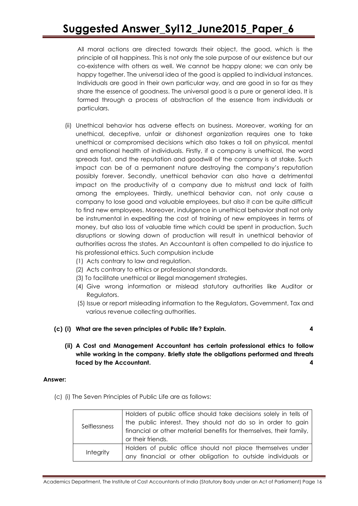All moral actions are directed towards their object, the good, which is the principle of all happiness. This is not only the sole purpose of our existence but our co-existence with others as well. We cannot be happy alone; we can only be happy together. The universal idea of the good is applied to individual instances. Individuals are good in their own particular way, and are good in so far as they share the essence of goodness. The universal good is a pure or general idea. It is formed through a process of abstraction of the essence from individuals or particulars.

- (ii) Unethical behavior has adverse effects on business. Moreover, working for an unethical, deceptive, unfair or dishonest organization requires one to take unethical or compromised decisions which also takes a toll on physical, mental and emotional health of individuals. Firstly, if a company is unethical, the word spreads fast, and the reputation and goodwill of the company is at stake. Such impact can be of a permanent nature destroying the company"s reputation possibly forever. Secondly, unethical behavior can also have a detrimental impact on the productivity of a company due to mistrust and lack of faith among the employees. Thirdly, unethical behavior can, not only cause a company to lose good and valuable employees, but also it can be quite difficult to find new employees. Moreover, indulgence in unethical behavior shall not only be instrumental in expediting the cost of training of new employees in terms of money, but also loss of valuable time which could be spent in production. Such disruptions or slowing down of production will result in unethical behavior of authorities across the states. An Accountant is often compelled to do injustice to his professional ethics. Such compulsion include
	- (1) Acts contrary to law and regulation.
	- (2) Acts contrary to ethics or professional standards.
	- (3) To facilitate unethical or illegal management strategies.
	- (4) Give wrong information or mislead statutory authorities like Auditor or Regulators.
	- (5) Issue or report misleading information to the Regulators, Government, Tax and various revenue collecting authorities.
- **(c) (i) What are the seven principles of Public life? Explain. 4**
- - **(ii) A Cost and Management Accountant has certain professional ethics to follow while working in the company. Briefly state the obligations performed and threats faced by the Accountant. 4**

### **Answer:**

(c) (i) The Seven Principles of Public Life are as follows:

| Selflessness | Holders of public office should take decisions solely in tells of<br>the public interest. They should not do so in order to gain<br>financial or other material benefits for themselves, their family,<br>or their friends. |
|--------------|-----------------------------------------------------------------------------------------------------------------------------------------------------------------------------------------------------------------------------|
| Integrity    | Holders of public office should not place themselves under<br>any financial or other obligation to outside individuals or                                                                                                   |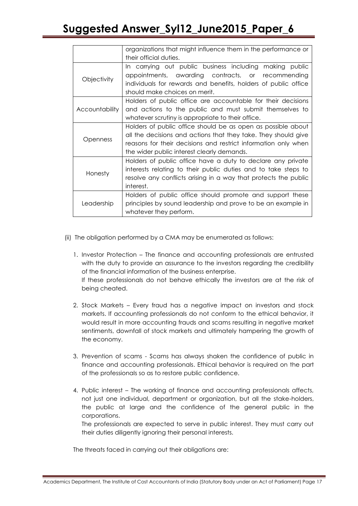|                       | organizations that might influence them in the performance or<br>their official duties.                                                                                                                                                        |
|-----------------------|------------------------------------------------------------------------------------------------------------------------------------------------------------------------------------------------------------------------------------------------|
| Objectivity           | In carrying out public business including making public<br>appointments, awarding contracts, or recommending<br>individuals for rewards and benefits, holders of public office<br>should make choices on merit.                                |
| <b>Accountability</b> | Holders of public office are accountable for their decisions<br>and actions to the public and must submit themselves to<br>whatever scrutiny is appropriate to their office.                                                                   |
| <b>Openness</b>       | Holders of public office should be as open as possible about<br>all the decisions and actions that they take. They should give<br>reasons for their decisions and restrict information only when<br>the wider public interest clearly demands. |
| Honesty               | Holders of public office have a duty to declare any private<br>interests relating to their public duties and to take steps to<br>resolve any conflicts arising in a way that protects the public<br>interest.                                  |
| Leadership            | Holders of public office should promote and support these<br>principles by sound leadership and prove to be an example in<br>whatever they perform.                                                                                            |

- (ii) The obligation performed by a CMA may be enumerated as follows:
	- 1. Investor Protection The finance and accounting professionals are entrusted with the duty to provide an assurance to the investors regarding the credibility of the financial information of the business enterprise. If these professionals do not behave ethically the investors are at the risk of being cheated.
	- 2. Stock Markets Every fraud has a negative impact on investors and stock markets. If accounting professionals do not conform to the ethical behavior, it would result in more accounting frauds and scams resulting in negative market sentiments, downfall of stock markets and ultimately hampering the growth of the economy.
	- 3. Prevention of scams Scams has always shaken the confidence of public in finance and accounting professionals. Ethical behavior is required on the part of the professionals so as to restore public confidence.
	- 4. Public interest The working of finance and accounting professionals affects, not just one individual, department or organization, but all the stake-holders, the public at large and the confidence of the general public in the corporations.

The professionals are expected to serve in public interest. They must carry out their duties diligently ignoring their personal interests.

The threats faced in carrying out their obligations are: